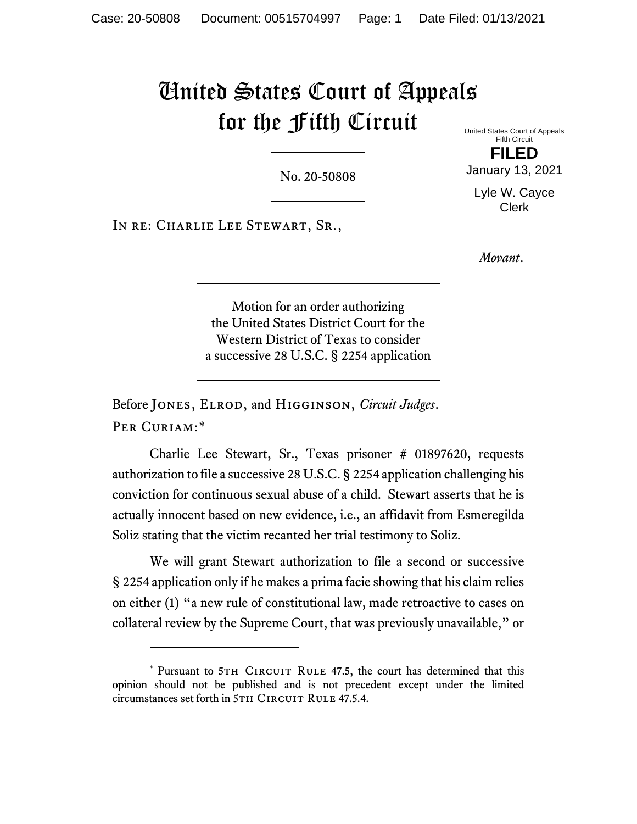## United States Court of Appeals for the Fifth Circuit

No. 20-50808

In re: Charlie Lee Stewart, Sr.,

United States Court of Appeals Fifth Circuit

**FILED** January 13, 2021

Lyle W. Cayce Clerk

*Movant*.

Motion for an order authorizing the United States District Court for the Western District of Texas to consider a successive 28 U.S.C. § 2254 application

Before Jones, Elrod, and Higginson, *Circuit Judges*. Per Curiam:[\\*](#page-0-0)

Charlie Lee Stewart, Sr., Texas prisoner # 01897620, requests authorization to file a successive 28 U.S.C. § 2254 application challenging his conviction for continuous sexual abuse of a child. Stewart asserts that he is actually innocent based on new evidence, i.e., an affidavit from Esmeregilda Soliz stating that the victim recanted her trial testimony to Soliz.

We will grant Stewart authorization to file a second or successive § 2254 application only if he makes a prima facie showing that his claim relies on either (1) "a new rule of constitutional law, made retroactive to cases on collateral review by the Supreme Court, that was previously unavailable," or

<span id="page-0-0"></span><sup>\*</sup> Pursuant to 5TH CIRCUIT RULE 47.5, the court has determined that this opinion should not be published and is not precedent except under the limited circumstances set forth in 5TH CIRCUIT RULE 47.5.4.